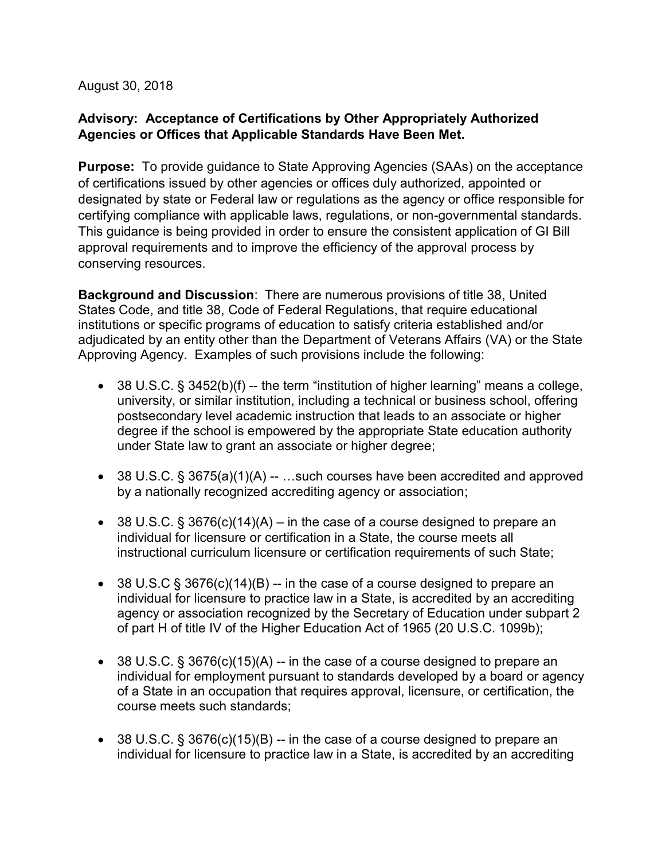August 30, 2018

## **Advisory: Acceptance of Certifications by Other Appropriately Authorized Agencies or Offices that Applicable Standards Have Been Met.**

**Purpose:** To provide guidance to State Approving Agencies (SAAs) on the acceptance of certifications issued by other agencies or offices duly authorized, appointed or designated by state or Federal law or regulations as the agency or office responsible for certifying compliance with applicable laws, regulations, or non-governmental standards. This guidance is being provided in order to ensure the consistent application of GI Bill approval requirements and to improve the efficiency of the approval process by conserving resources.

**Background and Discussion**: There are numerous provisions of title 38, United States Code, and title 38, Code of Federal Regulations, that require educational institutions or specific programs of education to satisfy criteria established and/or adjudicated by an entity other than the Department of Veterans Affairs (VA) or the State Approving Agency. Examples of such provisions include the following:

- 38 U.S.C.  $\S$  3452(b)(f) -- the term "institution of higher learning" means a college, university, or similar institution, including a technical or business school, offering postsecondary level academic instruction that leads to an associate or higher degree if the school is empowered by the appropriate State education authority under State law to grant an associate or higher degree;
- 38 U.S.C.  $\S 3675(a)(1)(A) ...$ such courses have been accredited and approved by a nationally recognized accrediting agency or association;
- 38 U.S.C. § 3676(c)(14)(A) in the case of a course designed to prepare an individual for licensure or certification in a State, the course meets all instructional curriculum licensure or certification requirements of such State;
- 38 U.S.C  $\S$  3676(c)(14)(B) -- in the case of a course designed to prepare an individual for licensure to practice law in a State, is accredited by an accrediting agency or association recognized by the Secretary of Education under subpart 2 of part H of title IV of the Higher Education Act of 1965 (20 U.S.C. 1099b);
- 38 U.S.C. § 3676(c)(15)(A) -- in the case of a course designed to prepare an individual for employment pursuant to standards developed by a board or agency of a State in an occupation that requires approval, licensure, or certification, the course meets such standards;
- 38 U.S.C.  $\S 3676(c)(15)(B) -$  in the case of a course designed to prepare an individual for licensure to practice law in a State, is accredited by an accrediting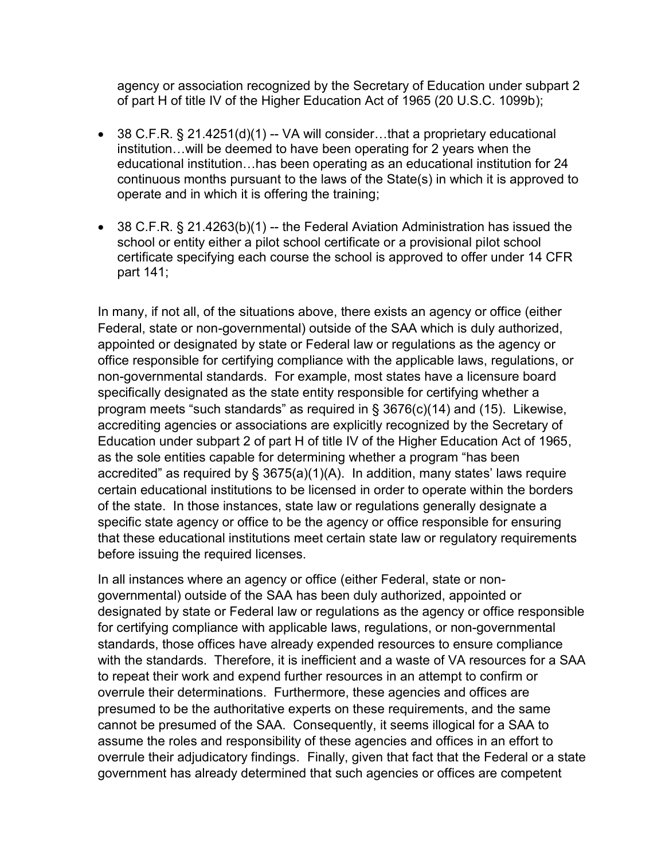agency or association recognized by the Secretary of Education under subpart 2 of part H of title IV of the Higher Education Act of 1965 (20 U.S.C. 1099b);

- 38 C.F.R. § 21.4251(d)(1) -- VA will consider...that a proprietary educational institution…will be deemed to have been operating for 2 years when the educational institution…has been operating as an educational institution for 24 continuous months pursuant to the laws of the State(s) in which it is approved to operate and in which it is offering the training;
- 38 C.F.R. § 21.4263(b)(1) -- the Federal Aviation Administration has issued the school or entity either a pilot school certificate or a provisional pilot school certificate specifying each course the school is approved to offer under 14 CFR part 141;

In many, if not all, of the situations above, there exists an agency or office (either Federal, state or non-governmental) outside of the SAA which is duly authorized, appointed or designated by state or Federal law or regulations as the agency or office responsible for certifying compliance with the applicable laws, regulations, or non-governmental standards. For example, most states have a licensure board specifically designated as the state entity responsible for certifying whether a program meets "such standards" as required in § 3676(c)(14) and (15). Likewise, accrediting agencies or associations are explicitly recognized by the Secretary of Education under subpart 2 of part H of title IV of the Higher Education Act of 1965, as the sole entities capable for determining whether a program "has been accredited" as required by § 3675(a)(1)(A). In addition, many states' laws require certain educational institutions to be licensed in order to operate within the borders of the state. In those instances, state law or regulations generally designate a specific state agency or office to be the agency or office responsible for ensuring that these educational institutions meet certain state law or regulatory requirements before issuing the required licenses.

In all instances where an agency or office (either Federal, state or nongovernmental) outside of the SAA has been duly authorized, appointed or designated by state or Federal law or regulations as the agency or office responsible for certifying compliance with applicable laws, regulations, or non-governmental standards, those offices have already expended resources to ensure compliance with the standards. Therefore, it is inefficient and a waste of VA resources for a SAA to repeat their work and expend further resources in an attempt to confirm or overrule their determinations. Furthermore, these agencies and offices are presumed to be the authoritative experts on these requirements, and the same cannot be presumed of the SAA. Consequently, it seems illogical for a SAA to assume the roles and responsibility of these agencies and offices in an effort to overrule their adjudicatory findings. Finally, given that fact that the Federal or a state government has already determined that such agencies or offices are competent